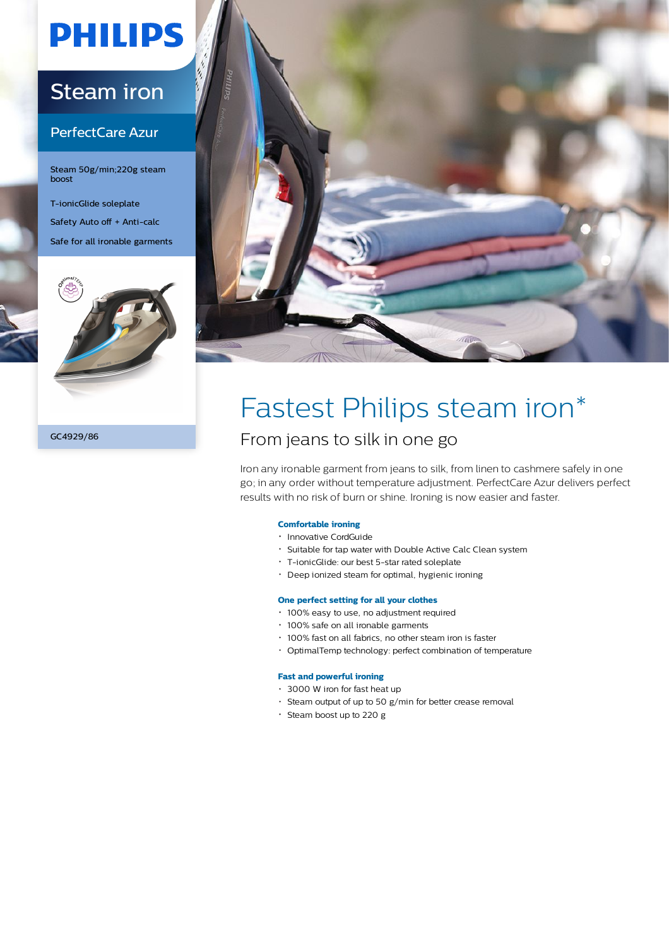# **PHILIPS**

# Steam iron

# PerfectCare Azur

Steam 50g/min;220g steam boost

T-ionicGlide soleplate Safety Auto off + Anti-calc Safe for all ironable garments



GC4929/86



# Fastest Philips steam iron\*

# From jeans to silk in one go

Iron any ironable garment from jeans to silk, from linen to cashmere safely in one go; in any order without temperature adjustment. PerfectCare Azur delivers perfect results with no risk of burn or shine. Ironing is now easier and faster.

## **Comfortable ironing**

- Innovative CordGuide
- Suitable for tap water with Double Active Calc Clean system
- T-ionicGlide: our best 5-star rated soleplate
- Deep ionized steam for optimal, hygienic ironing

## **One perfect setting for all your clothes**

- 100% easy to use, no adjustment required
- 100% safe on all ironable garments
- 100% fast on all fabrics, no other steam iron is faster
- OptimalTemp technology: perfect combination of temperature

## **Fast and powerful ironing**

- 3000 W iron for fast heat up
- Steam output of up to 50 g/min for better crease removal
- Steam boost up to 220 g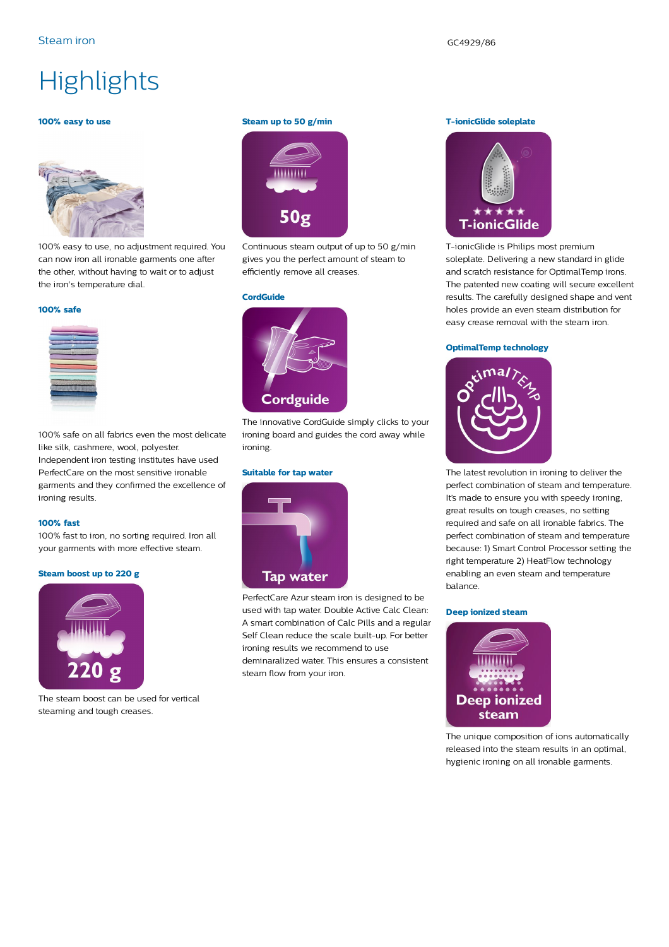# **Highlights**

#### **100% easy to use**



100% easy to use, no adjustment required. You can now iron all ironable garments one after the other, without having to wait or to adjust the iron's temperature dial.

#### **100% safe**



100% safe on all fabrics even the most delicate like silk, cashmere, wool, polyester. Independent iron testing institutes have used PerfectCare on the most sensitive ironable garments and they confirmed the excellence of ironing results.

#### **100% fast**

100% fast to iron, no sorting required. Iron all your garments with more effective steam.

#### **Steam boost up to 220 g**



The steam boost can be used for vertical steaming and tough creases.

#### **Steam up to 50 g/min**



Continuous steam output of up to 50 g/min gives you the perfect amount of steam to efficiently remove all creases.

#### **CordGuide**



The innovative CordGuide simply clicks to your ironing board and guides the cord away while ironing.

### **Suitable for tap water**



PerfectCare Azur steam iron is designed to be used with tap water. Double Active Calc Clean: A smart combination of Calc Pills and a regular Self Clean reduce the scale built-up. For better ironing results we recommend to use deminaralized water. This ensures a consistent steam flow from your iron.

#### **T-ionicGlide soleplate**



T-ionicGlide is Philips most premium soleplate. Delivering a new standard in glide and scratch resistance for OptimalTemp irons. The patented new coating will secure excellent results. The carefully designed shape and vent holes provide an even steam distribution for easy crease removal with the steam iron.

#### **OptimalTemp technology**



The latest revolution in ironing to deliver the perfect combination of steam and temperature. It's made to ensure you with speedy ironing, great results on tough creases, no setting required and safe on all ironable fabrics. The perfect combination of steam and temperature because: 1) Smart Control Processor setting the right temperature 2) HeatFlow technology enabling an even steam and temperature balance.

#### **Deep ionized steam**



The unique composition of ions automatically released into the steam results in an optimal, hygienic ironing on all ironable garments.